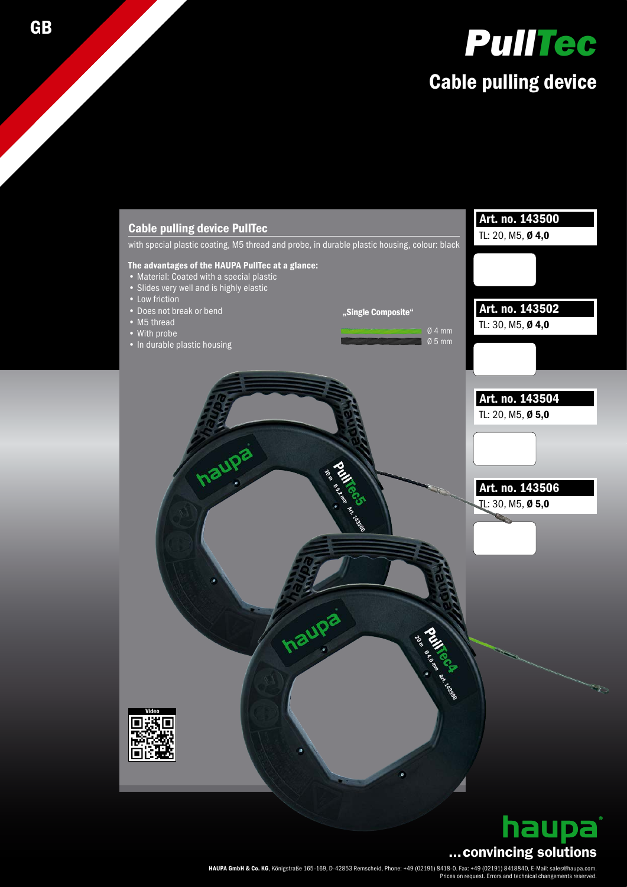





HAUPA GmbH & Co. KG, Königstraße 165–169, D-42853 Remscheid, Phone: +49 (02191) 8418-0. Fax: +49 (02191) 8418840, E-Mail: sales@haupa.com. Prices on request. Errors and technical changements reserved.